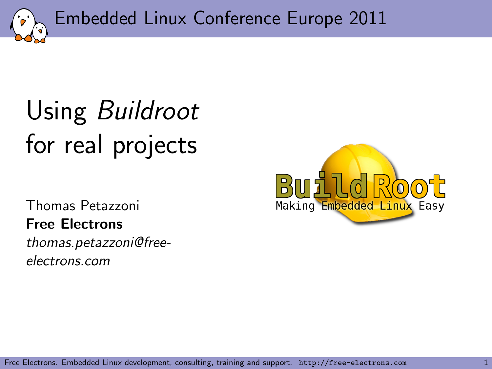Embedded Linux Conference Europe 2011

# Using Buildroot for real projects

Thomas Petazzoni Free Electrons thomas.petazzoni@freeelectrons.com

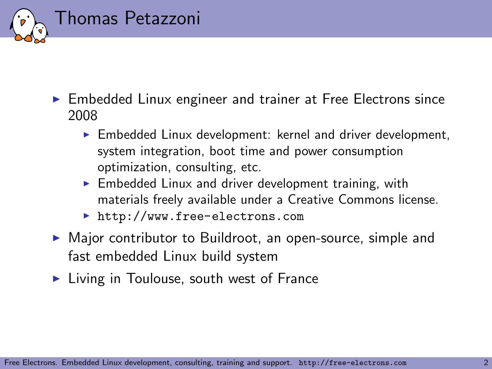

- $\triangleright$  Embedded Linux engineer and trainer at Free Electrons since 2008
	- $\blacktriangleright$  Embedded Linux development: kernel and driver development, system integration, boot time and power consumption optimization, consulting, etc.
	- $\blacktriangleright$  Embedded Linux and driver development training, with materials freely available under a Creative Commons license.
	- ▶ <http://www.free-electrons.com>
- $\triangleright$  Major contributor to Buildroot, an open-source, simple and fast embedded Linux build system
- $\blacktriangleright$  Living in Toulouse, south west of France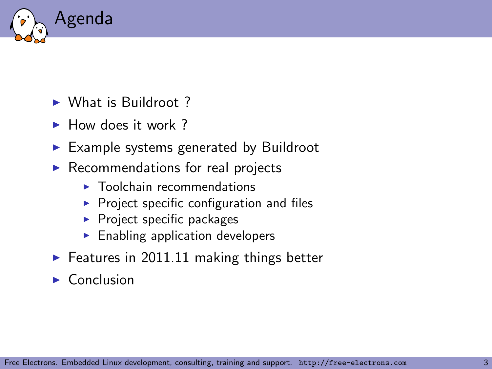

- $\triangleright$  What is Buildroot ?
- $\blacktriangleright$  How does it work ?
- $\blacktriangleright$  Example systems generated by Buildroot
- $\blacktriangleright$  Recommendations for real projects
	- $\blacktriangleright$  Toolchain recommendations
	- $\triangleright$  Project specific configuration and files
	- $\blacktriangleright$  Project specific packages
	- $\blacktriangleright$  Enabling application developers
- $\blacktriangleright$  Features in 2011.11 making things better
- $\triangleright$  Conclusion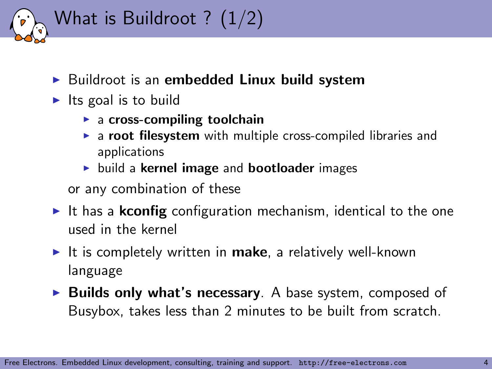

- $\triangleright$  Buildroot is an embedded Linux build system
- $\blacktriangleright$  Its goal is to build
	- $\blacktriangleright$  a cross-compiling toolchain
	- $\triangleright$  a root filesystem with multiple cross-compiled libraries and applications
	- $\triangleright$  build a kernel image and bootloader images

or any combination of these

- It has a **kconfig** configuration mechanism, identical to the one used in the kernel
- It is completely written in make, a relatively well-known language
- $\triangleright$  Builds only what's necessary. A base system, composed of Busybox, takes less than 2 minutes to be built from scratch.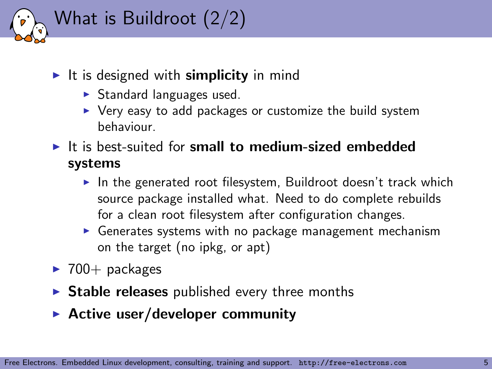

- It is designed with **simplicity** in mind
	- $\triangleright$  Standard languages used.
	- $\triangleright$  Very easy to add packages or customize the build system behaviour.
- $\blacktriangleright$  It is best-suited for small to medium-sized embedded systems
	- In the generated root filesystem, Buildroot doesn't track which source package installed what. Need to do complete rebuilds for a clean root filesystem after configuration changes.
	- $\triangleright$  Generates systems with no package management mechanism on the target (no ipkg, or apt)
- $\blacktriangleright$  700+ packages
- $\triangleright$  Stable releases published every three months
- $\blacktriangleright$  Active user/developer community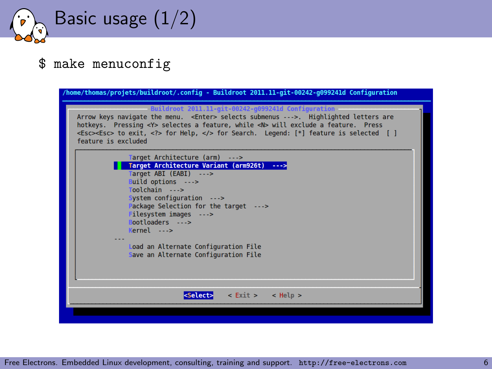Basic usage (1/2)

#### \$ make menuconfig

| /home/thomas/projets/buildroot/.config - Buildroot 2011.11-git-00242-q099241d Configuration                                                                                                                                                                                                                                                                                     |
|---------------------------------------------------------------------------------------------------------------------------------------------------------------------------------------------------------------------------------------------------------------------------------------------------------------------------------------------------------------------------------|
| Buildroot 2011.11-git-00242-g099241d Configuration<br>Arrow keys navigate the menu. <enter> selects submenus ---&gt;. Highlighted letters are<br/>hotkeys. Pressing <y> selectes a feature, while <n> will exclude a feature. Press<br/><esc><esc> to exit, <? > for Help,  for Search. Legend: [*] feature is selected [ ]<br/>feature is excluded</esc></esc></n></y></enter> |
| Target Architecture (arm) ---><br>Target Architecture Variant (arm926t) ---><br>Target ABI (EABI) ---><br>Build options ---><br>Toolchain ---><br>System configuration ---><br>Package Selection for the target ---><br>Filesystem images ---><br>Bootloaders ---><br>$Kernel \t---$<br>Load an Alternate Configuration File<br>Save an Alternate Configuration File            |
| $\le$ Exit > $\le$ Help ><br><select></select>                                                                                                                                                                                                                                                                                                                                  |
|                                                                                                                                                                                                                                                                                                                                                                                 |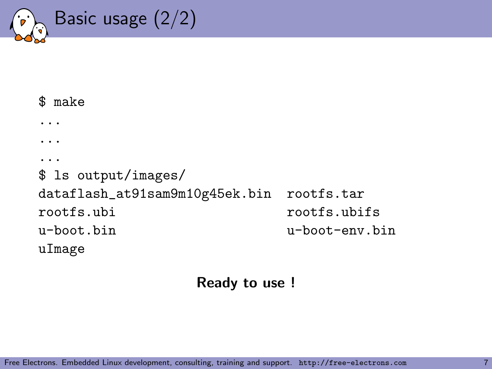Basic usage (2/2)

```
$ make
...
...
...
$ ls output/images/
dataflash_at91sam9m10g45ek.bin rootfs.tar
rootfs.ubi rootfs.ubifs
u-boot.bin u-boot-env.bin
uImage
```
Ready to use !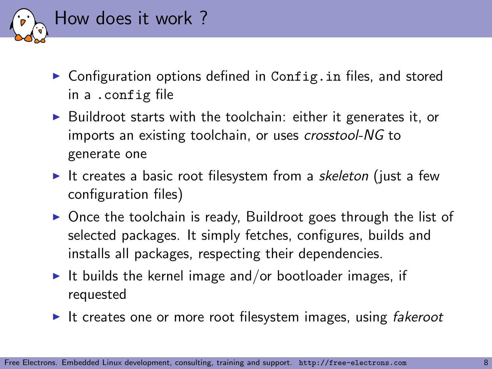

- $\triangleright$  Configuration options defined in Config. in files, and stored in a .config file
- $\triangleright$  Buildroot starts with the toolchain: either it generates it, or imports an existing toolchain, or uses crosstool-NG to generate one
- It creates a basic root filesystem from a skeleton (just a few configuration files)
- $\triangleright$  Once the toolchain is ready, Buildroot goes through the list of selected packages. It simply fetches, configures, builds and installs all packages, respecting their dependencies.
- It builds the kernel image and/or bootloader images, if requested
- It creates one or more root filesystem images, using fakeroot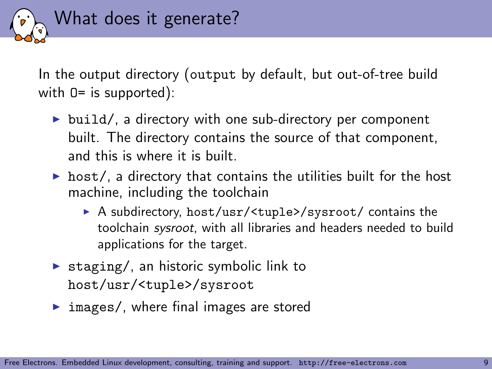

In the output directory (output by default, but out-of-tree build with  $0=$  is supported):

- $\triangleright$  build/, a directory with one sub-directory per component built. The directory contains the source of that component, and this is where it is built.
- $\triangleright$  host/, a directory that contains the utilities built for the host machine, including the toolchain
	- ▶ A subdirectory, host/usr/<tuple>/sysroot/ contains the toolchain sysroot, with all libraries and headers needed to build applications for the target.
- $\triangleright$  staging/, an historic symbolic link to host/usr/<tuple>/sysroot
- $\triangleright$  images/, where final images are stored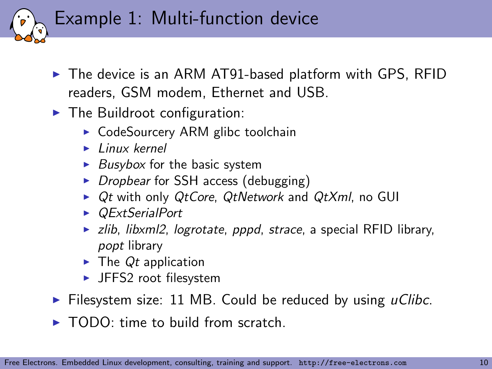Example 1: Multi-function device

- $\blacktriangleright$  The device is an ARM AT91-based platform with GPS, RFID readers, GSM modem, Ethernet and USB.
- $\blacktriangleright$  The Buildroot configuration:
	- $\triangleright$  CodeSourcery ARM glibc toolchain
	- $\blacktriangleright$  Linux kernel
	- $\triangleright$  Busybox for the basic system
	- $\triangleright$  Dropbear for SSH access (debugging)
	- $\triangleright$  Qt with only QtCore, QtNetwork and QtXml, no GUI
	- ▶ *OExtSerialPort*
	- $\triangleright$  zlib, libxml2, logrotate, pppd, strace, a special RFID library, popt library
	- $\blacktriangleright$  The Qt application
	- $\blacktriangleright$  JFFS2 root filesystem
- $\triangleright$  Filesystem size: 11 MB. Could be reduced by using *uClibc*.
- $\blacktriangleright$  TODO: time to build from scratch.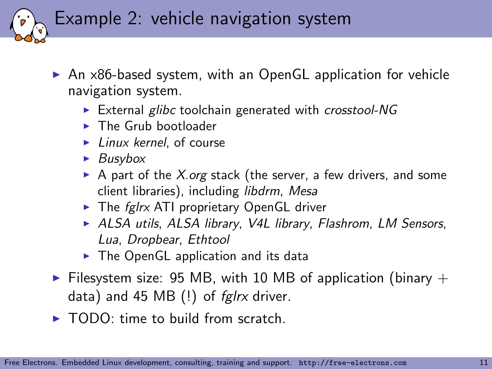Example 2: vehicle navigation system

- $\triangleright$  An x86-based system, with an OpenGL application for vehicle navigation system.
	- External glibc toolchain generated with crosstool-NG
	- $\blacktriangleright$  The Grub bootloader
	- $\blacktriangleright$  Linux kernel, of course
	- $\blacktriangleright$  Busybox
	- A part of the X.org stack (the server, a few drivers, and some client libraries), including libdrm, Mesa
	- $\triangleright$  The fglrx ATI proprietary OpenGL driver
	- ▶ ALSA utils, ALSA library, V4L library, Flashrom, LM Sensors, Lua, Dropbear, Ethtool
	- $\triangleright$  The OpenGL application and its data
- Filesystem size: 95 MB, with 10 MB of application (binary  $+$ data) and 45 MB $(!)$  of fglrx driver.
- $\triangleright$  TODO: time to build from scratch.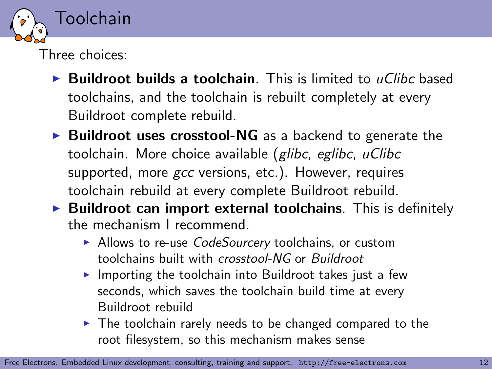

Three choices:

- $\triangleright$  Buildroot builds a toolchain. This is limited to uClibc based toolchains, and the toolchain is rebuilt completely at every Buildroot complete rebuild.
- $\triangleright$  Buildroot uses crosstool-NG as a backend to generate the toolchain. More choice available (glibc, eglibc, uClibc supported, more gcc versions, etc.). However, requires toolchain rebuild at every complete Buildroot rebuild.
- $\triangleright$  Buildroot can import external toolchains. This is definitely the mechanism I recommend.
	- ▶ Allows to re-use *CodeSourcery* toolchains, or custom toolchains built with crosstool-NG or Buildroot
	- $\blacktriangleright$  Importing the toolchain into Buildroot takes just a few seconds, which saves the toolchain build time at every Buildroot rebuild
	- $\triangleright$  The toolchain rarely needs to be changed compared to the root filesystem, so this mechanism makes sense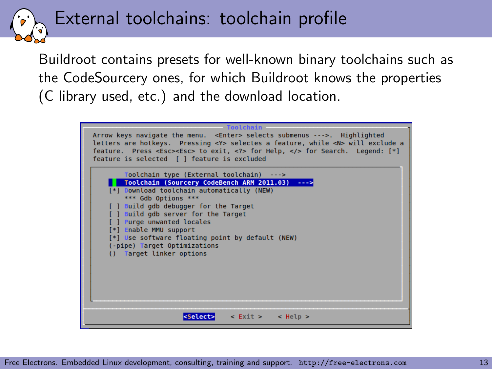External toolchains: toolchain profile

Buildroot contains presets for well-known binary toolchains such as the CodeSourcery ones, for which Buildroot knows the properties (C library used, etc.) and the download location.

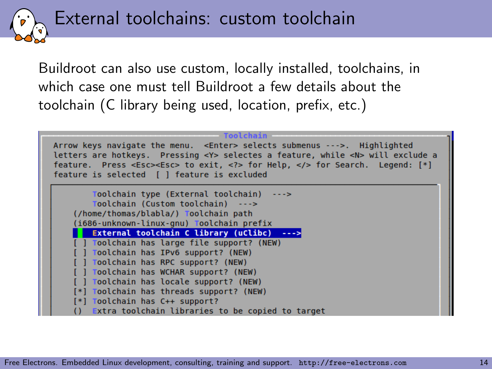External toolchains: custom toolchain

Buildroot can also use custom, locally installed, toolchains, in which case one must tell Buildroot a few details about the toolchain (C library being used, location, prefix, etc.)

| Toolchain                                                                                                                                                                      |
|--------------------------------------------------------------------------------------------------------------------------------------------------------------------------------|
| Arrow keys navigate the menu. <enter> selects submenus ---&gt;. Highlighted<br/>letters are hotkeys. Pressing <y> selectes a feature, while <n> will exclude a</n></y></enter> |
| feature. Press <esc><esc> to exit, <? > for Help,  for Search. Legend: [*]</esc></esc>                                                                                         |
| feature is selected [ ] feature is excluded                                                                                                                                    |
|                                                                                                                                                                                |
| Toolchain type (External toolchain) --->                                                                                                                                       |
| Toolchain (Custom toolchain) --->                                                                                                                                              |
| (/home/thomas/blabla/) Toolchain path                                                                                                                                          |
| (1686-unknown-linux-gnu) Toolchain prefix                                                                                                                                      |
| External toolchain C library (uClibc) --->                                                                                                                                     |
| [ ] Toolchain has large file support? (NEW)                                                                                                                                    |
| [ ] Toolchain has IPv6 support? (NEW)                                                                                                                                          |
| [ ] Toolchain has RPC support? (NEW)                                                                                                                                           |
| [ ] Toolchain has WCHAR support? (NEW)                                                                                                                                         |
| Toolchain has locale support? (NEW)                                                                                                                                            |
| [*] Toolchain has threads support? (NEW)                                                                                                                                       |
| [*] Toolchain has C++ support?                                                                                                                                                 |
| Extra toolchain libraries to be copied to target<br>$\Omega$                                                                                                                   |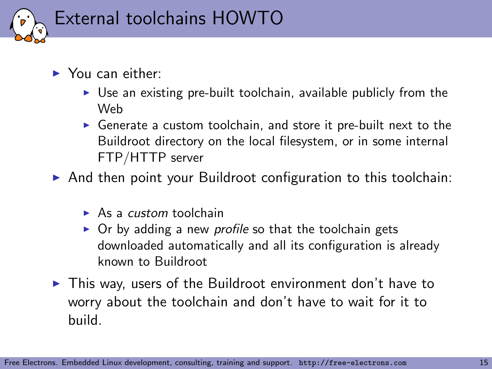

- $\blacktriangleright$  You can either:
	- $\triangleright$  Use an existing pre-built toolchain, available publicly from the Web
	- $\triangleright$  Generate a custom toolchain, and store it pre-built next to the Buildroot directory on the local filesystem, or in some internal FTP/HTTP server
- $\triangleright$  And then point your Buildroot configuration to this toolchain:
	- $\triangleright$  As a *custom* toolchain
	- $\triangleright$  Or by adding a new *profile* so that the toolchain gets downloaded automatically and all its configuration is already known to Buildroot
- $\blacktriangleright$  This way, users of the Buildroot environment don't have to worry about the toolchain and don't have to wait for it to build.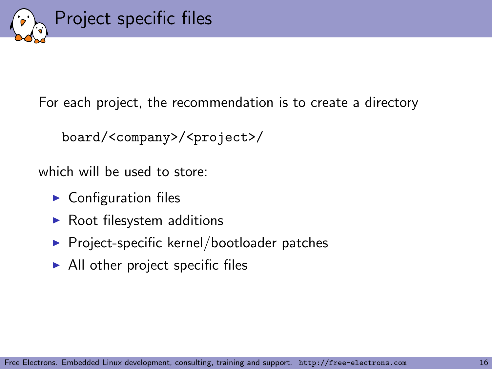

For each project, the recommendation is to create a directory

```
board/<company>/<project>/
```
which will be used to store:

- $\blacktriangleright$  Configuration files
- $\blacktriangleright$  Root filesystem additions
- $\blacktriangleright$  Project-specific kernel/bootloader patches
- $\blacktriangleright$  All other project specific files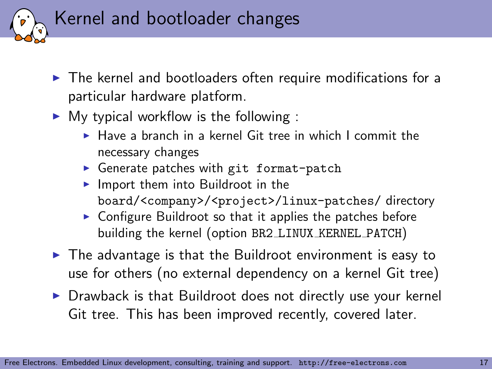

- $\triangleright$  The kernel and bootloaders often require modifications for a particular hardware platform.
- $\triangleright$  My typical workflow is the following :
	- $\blacktriangleright$  Have a branch in a kernel Git tree in which I commit the necessary changes
	- $\triangleright$  Generate patches with git format-patch
	- $\blacktriangleright$  Import them into Buildroot in the board/<company>/<project>/linux-patches/ directory
	- $\triangleright$  Configure Buildroot so that it applies the patches before building the kernel (option BR2 LINUX KERNEL PATCH)
- $\triangleright$  The advantage is that the Buildroot environment is easy to use for others (no external dependency on a kernel Git tree)
- $\triangleright$  Drawback is that Buildroot does not directly use your kernel Git tree. This has been improved recently, covered later.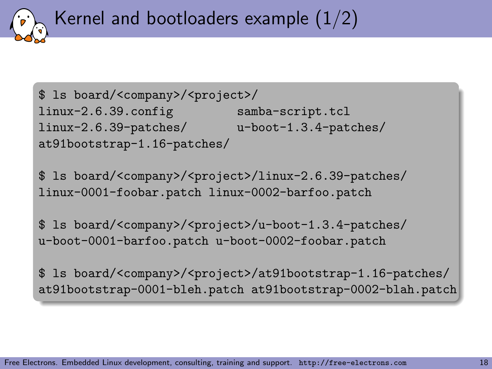Kernel and bootloaders example  $(1/2)$ 

```
$ ls board/<company>/<project>/
linux-2.6.39.config samba-script.tcl
linux-2.6.39-patches/ u-boot-1.3.4-patches/
at91bootstrap-1.16-patches/
```
\$ ls board/<company>/<project>/linux-2.6.39-patches/ linux-0001-foobar.patch linux-0002-barfoo.patch

\$ ls board/<company>/<project>/u-boot-1.3.4-patches/ u-boot-0001-barfoo.patch u-boot-0002-foobar.patch

\$ ls board/<company>/<project>/at91bootstrap-1.16-patches/ at91bootstrap-0001-bleh.patch at91bootstrap-0002-blah.patch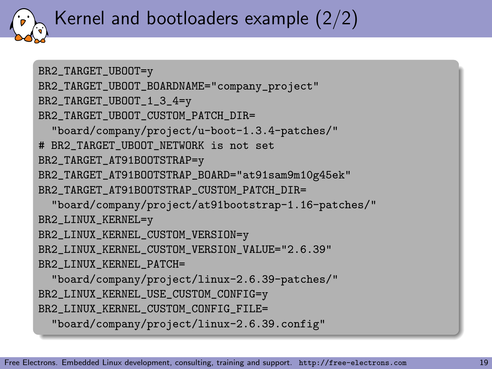## Kernel and bootloaders example (2/2)

```
BR2_TARGET_UBOOT=y
BR2_TARGET_UBOOT_BOARDNAME="company_project"
BR2_TARGET_UBOOT_1_3_4=y
BR2_TARGET_UBOOT_CUSTOM_PATCH_DIR=
  "board/company/project/u-boot-1.3.4-patches/"
# BR2_TARGET_UBOOT_NETWORK is not set
BR2_TARGET_AT91BOOTSTRAP=y
BR2_TARGET_AT91BOOTSTRAP_BOARD="at91sam9m10g45ek"
BR2_TARGET_AT91BOOTSTRAP_CUSTOM_PATCH_DIR=
  "board/company/project/at91bootstrap-1.16-patches/"
BR2_LINUX_KERNEL=y
BR2_LINUX_KERNEL_CUSTOM_VERSION=y
BR2_LINUX_KERNEL_CUSTOM_VERSION_VALUE="2.6.39"
BR2_LINUX_KERNEL_PATCH=
  "board/company/project/linux-2.6.39-patches/"
BR2_LINUX_KERNEL_USE_CUSTOM_CONFIG=y
BR2_LINUX_KERNEL_CUSTOM_CONFIG_FILE=
  "board/company/project/linux-2.6.39.config"
```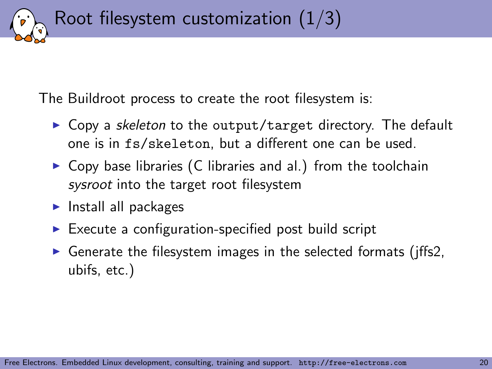Root filesystem customization  $(1/3)$ 

The Buildroot process to create the root filesystem is:

- $\triangleright$  Copy a skeleton to the output/target directory. The default one is in fs/skeleton, but a different one can be used.
- $\triangleright$  Copy base libraries (C libraries and al.) from the toolchain sysroot into the target root filesystem
- $\blacktriangleright$  Install all packages
- $\triangleright$  Execute a configuration-specified post build script
- $\triangleright$  Generate the filesystem images in the selected formats (jffs2, ubifs, etc.)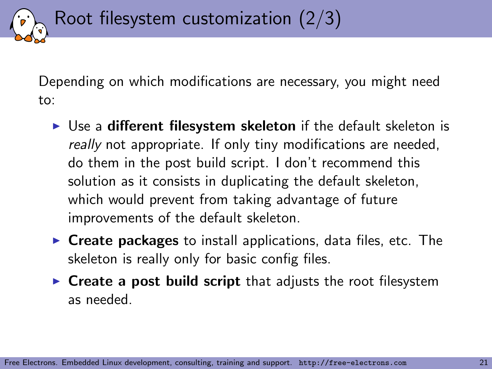Depending on which modifications are necessary, you might need to:

Root filesystem customization (2/3)

- $\triangleright$  Use a different filesystem skeleton if the default skeleton is really not appropriate. If only tiny modifications are needed, do them in the post build script. I don't recommend this solution as it consists in duplicating the default skeleton, which would prevent from taking advantage of future improvements of the default skeleton.
- $\triangleright$  Create packages to install applications, data files, etc. The skeleton is really only for basic config files.
- $\triangleright$  Create a post build script that adjusts the root filesystem as needed.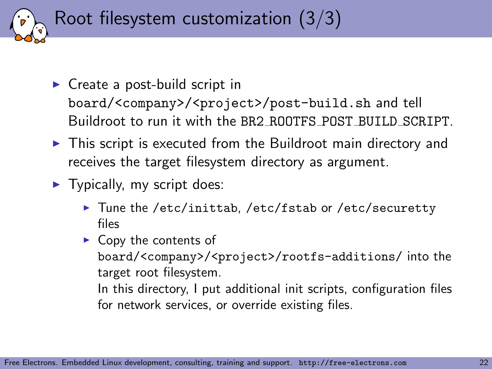Root filesystem customization (3/3)

- $\triangleright$  Create a post-build script in board/<company>/<project>/post-build.sh and tell Buildroot to run it with the BR2 ROOTFS POST BUILD SCRIPT.
- $\triangleright$  This script is executed from the Buildroot main directory and receives the target filesystem directory as argument.
- $\blacktriangleright$  Typically, my script does:
	- ▶ Tune the /etc/inittab, /etc/fstab or /etc/securetty files
	- $\triangleright$  Copy the contents of board/<company>/<project>/rootfs-additions/ into the target root filesystem.

In this directory, I put additional init scripts, configuration files for network services, or override existing files.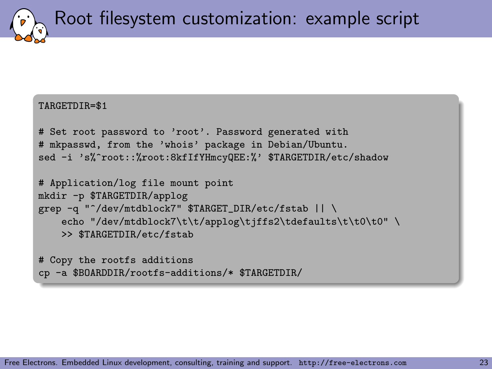Root filesystem customization: example script

#### TARGETDIR=\$1

```
# Set root password to 'root'. Password generated with
# mkpasswd, from the 'whois' package in Debian/Ubuntu.
sed -i 's%^root::%root:8kfIfYHmcyQEE:%' $TARGETDIR/etc/shadow
```

```
# Application/log file mount point
mkdir -p $TARGETDIR/applog
grep -q "^/dev/mtdblock7" $TARGET_DIR/etc/fstab || \
    echo "/dev/mtdblock7\t\t/applog\tjffs2\tdefaults\t\t0\t0" \
    >> $TARGETDIR/etc/fstab
```

```
# Copy the rootfs additions
cp -a $BOARDDIR/rootfs-additions/* $TARGETDIR/
```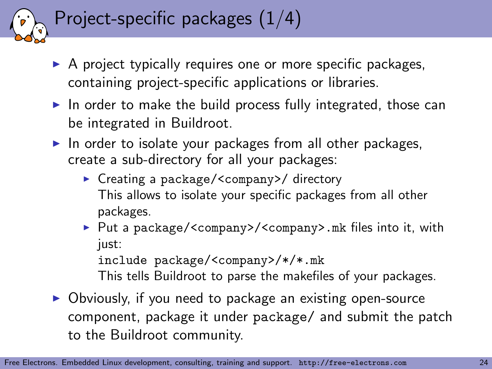## Project-specific packages (1/4)

- $\triangleright$  A project typically requires one or more specific packages, containing project-specific applications or libraries.
- In order to make the build process fully integrated, those can be integrated in Buildroot.
- $\blacktriangleright$  In order to isolate your packages from all other packages, create a sub-directory for all your packages:
	- ► Creating a package/<company>/ directory This allows to isolate your specific packages from all other packages.
	- ▶ Put a package/<company>/<company>.mk files into it, with just:

include package/<company>/\*/\*.mk

This tells Buildroot to parse the makefiles of your packages.

 $\triangleright$  Obviously, if you need to package an existing open-source component, package it under package/ and submit the patch to the Buildroot community.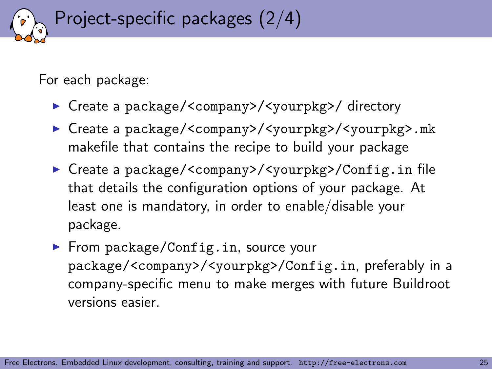Project-specific packages (2/4)

For each package:

- ► Create a package/<company>/<yourpkg>/ directory
- ▶ Create a package/<company>/<yourpkg>/<yourpkg>.mk makefile that contains the recipe to build your package
- ► Create a package/<company>/<yourpkg>/Config.in file that details the configuration options of your package. At least one is mandatory, in order to enable/disable your package.
- $\blacktriangleright$  From package/Config.in, source your package/<company>/<yourpkg>/Config.in, preferably in a company-specific menu to make merges with future Buildroot versions easier.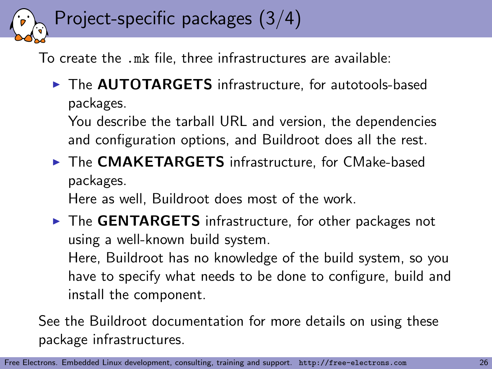## Project-specific packages (3/4)

To create the .mk file, three infrastructures are available:

▶ The **AUTOTARGETS** infrastructure, for autotools-based packages.

You describe the tarball URL and version, the dependencies and configuration options, and Buildroot does all the rest.

▶ The CMAKETARGETS infrastructure, for CMake-based packages.

Here as well, Buildroot does most of the work.

 $\triangleright$  The GENTARGETS infrastructure, for other packages not using a well-known build system.

Here, Buildroot has no knowledge of the build system, so you have to specify what needs to be done to configure, build and install the component.

See the Buildroot documentation for more details on using these package infrastructures.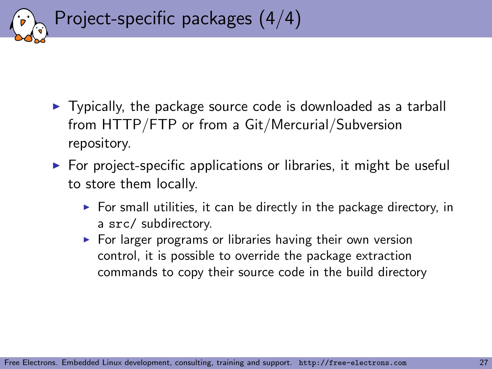

- $\triangleright$  Typically, the package source code is downloaded as a tarball from HTTP/FTP or from a Git/Mercurial/Subversion repository.
- $\triangleright$  For project-specific applications or libraries, it might be useful to store them locally.
	- $\triangleright$  For small utilities, it can be directly in the package directory, in a src/ subdirectory.
	- $\triangleright$  For larger programs or libraries having their own version control, it is possible to override the package extraction commands to copy their source code in the build directory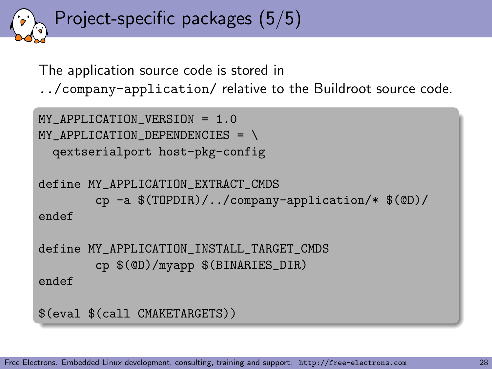Project-specific packages (5/5)

The application source code is stored in

../company-application/ relative to the Buildroot source code.

```
MY APPLICATION VERSION = 1.0
MY APPLICATION DEPENDENCIES = \setminusqextserialport host-pkg-config
define MY_APPLICATION_EXTRACT_CMDS
        cp -a $(TOPDIR)/../company-application/* $(@D)/
endef
define MY_APPLICATION_INSTALL_TARGET_CMDS
        cp $(@D)/myapp $(BINARIES_DIR)
endef
$(eval $(call CMAKETARGETS))
```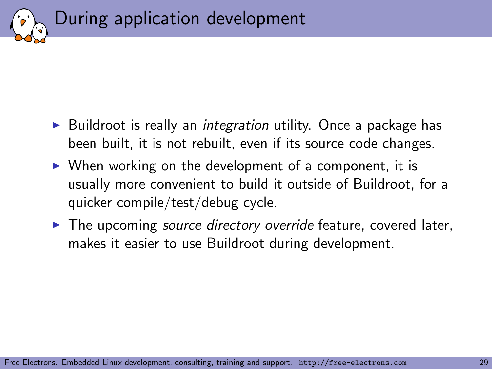

- $\triangleright$  Buildroot is really an *integration* utility. Once a package has been built, it is not rebuilt, even if its source code changes.
- $\triangleright$  When working on the development of a component, it is usually more convenient to build it outside of Buildroot, for a quicker compile/test/debug cycle.
- $\blacktriangleright$  The upcoming source directory override feature, covered later, makes it easier to use Buildroot during development.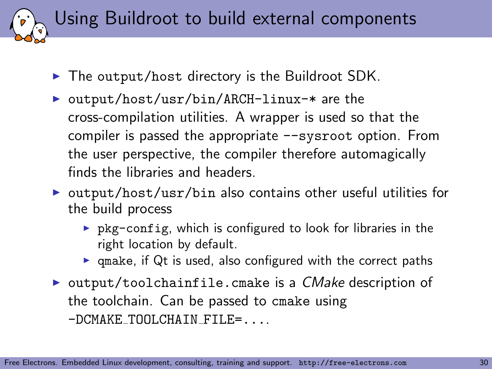Using Buildroot to build external components

- $\blacktriangleright$  The output/host directory is the Buildroot SDK.
- ▶ output/host/usr/bin/ARCH-linux-\* are the cross-compilation utilities. A wrapper is used so that the compiler is passed the appropriate --sysroot option. From the user perspective, the compiler therefore automagically finds the libraries and headers.
- $\triangleright$  output/host/usr/bin also contains other useful utilities for the build process
	- $\triangleright$  pkg-config, which is configured to look for libraries in the right location by default.
	- $\triangleright$  qmake, if Qt is used, also configured with the correct paths
- $\triangleright$  output/toolchainfile.cmake is a CMake description of the toolchain. Can be passed to cmake using -DCMAKE TOOLCHAIN FILE=....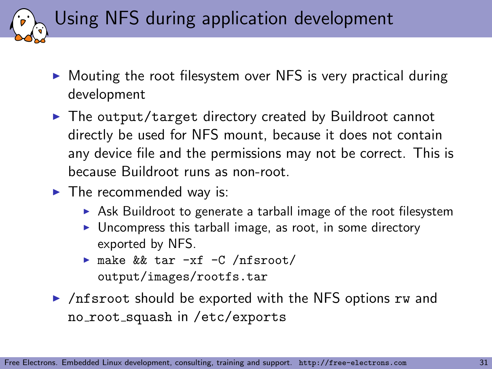Using NFS during application development

- $\triangleright$  Mouting the root filesystem over NFS is very practical during development
- $\triangleright$  The output/target directory created by Buildroot cannot directly be used for NFS mount, because it does not contain any device file and the permissions may not be correct. This is because Buildroot runs as non-root.
- $\blacktriangleright$  The recommended way is:
	- $\triangleright$  Ask Buildroot to generate a tarball image of the root filesystem
	- $\triangleright$  Uncompress this tarball image, as root, in some directory exported by NFS.
	- $\triangleright$  make && tar -xf -C /nfsroot/ output/images/rootfs.tar
- $\triangleright$  /nfsroot should be exported with the NFS options rw and no root squash in /etc/exports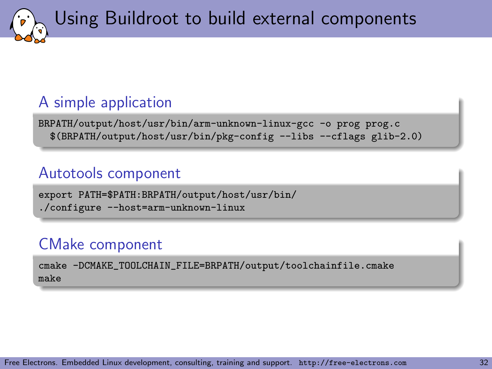Using Buildroot to build external components

### A simple application

BRPATH/output/host/usr/bin/arm-unknown-linux-gcc -o prog prog.c \$(BRPATH/output/host/usr/bin/pkg-config --libs --cflags glib-2.0)

#### Autotools component

export PATH=\$PATH:BRPATH/output/host/usr/bin/ ./configure --host=arm-unknown-linux

### CMake component

cmake -DCMAKE\_TOOLCHAIN\_FILE=BRPATH/output/toolchainfile.cmake make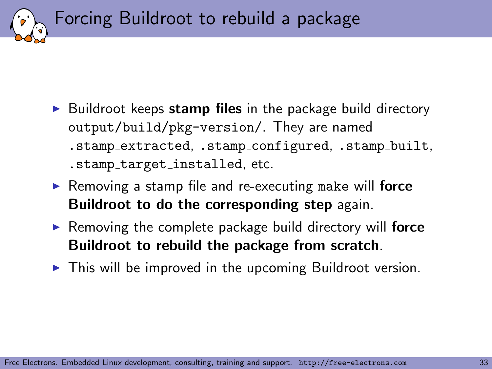Forcing Buildroot to rebuild a package

- $\triangleright$  Buildroot keeps stamp files in the package build directory output/build/pkg-version/. They are named .stamp extracted, .stamp configured, .stamp built, .stamp target installed, etc.
- Removing a stamp file and re-executing make will force Buildroot to do the corresponding step again.
- $\triangleright$  Removing the complete package build directory will force Buildroot to rebuild the package from scratch.
- $\triangleright$  This will be improved in the upcoming Buildroot version.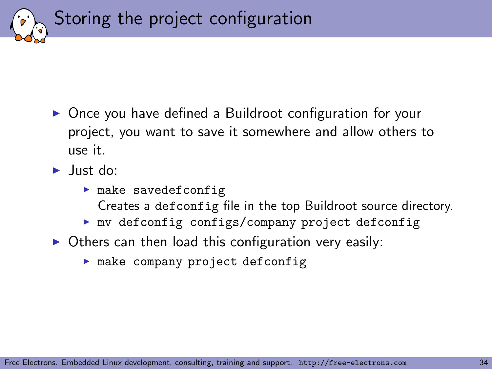Storing the project configuration

- ▶ Once you have defined a Buildroot configuration for your project, you want to save it somewhere and allow others to use it.
- $\blacktriangleright$  Just do:
	- $\blacktriangleright$  make savedefconfig Creates a defconfig file in the top Buildroot source directory.
	- $\blacktriangleright$  mv defconfig configs/company\_project\_defconfig
- $\triangleright$  Others can then load this configuration very easily:
	- $\blacktriangleright$  make company\_project\_defconfig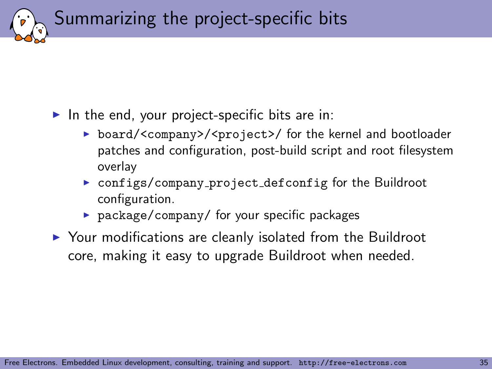Summarizing the project-specific bits

#### In the end, your project-specific bits are in:

- ▶ board/<company>/<project>/ for the kernel and bootloader patches and configuration, post-build script and root filesystem overlay
- **DED configs/company\_project\_defconfig for the Buildroot** configuration.
- $\triangleright$  package/company/ for your specific packages
- $\triangleright$  Your modifications are cleanly isolated from the Buildroot core, making it easy to upgrade Buildroot when needed.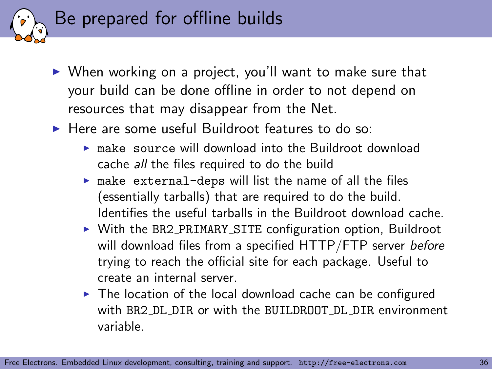

- $\triangleright$  When working on a project, you'll want to make sure that your build can be done offline in order to not depend on resources that may disappear from the Net.
- $\blacktriangleright$  Here are some useful Buildroot features to do so:
	- $\triangleright$  make source will download into the Buildroot download cache all the files required to do the build
	- $\triangleright$  make external-deps will list the name of all the files (essentially tarballs) that are required to do the build. Identifies the useful tarballs in the Buildroot download cache.
	- ▶ With the BR2\_PRIMARY\_SITE configuration option, Buildroot will download files from a specified HTTP/FTP server before trying to reach the official site for each package. Useful to create an internal server.
	- $\triangleright$  The location of the local download cache can be configured with BR2 DL DIR or with the BUILDROOT DL DIR environment variable.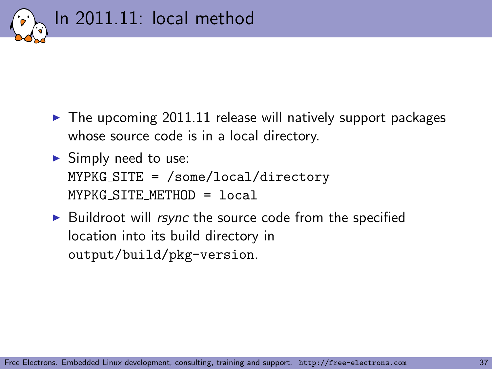

- $\blacktriangleright$  The upcoming 2011.11 release will natively support packages whose source code is in a local directory.
- $\blacktriangleright$  Simply need to use: MYPKG SITE = /some/local/directory MYPKG SITE METHOD = local
- $\triangleright$  Buildroot will *rsync* the source code from the specified location into its build directory in output/build/pkg-version.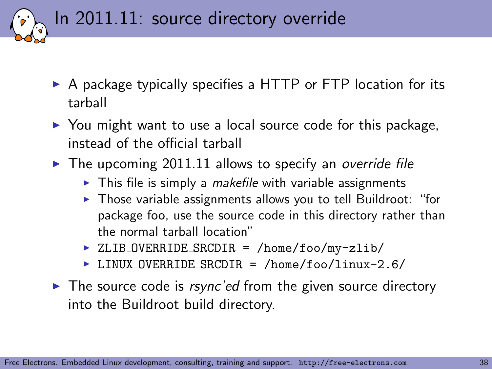In 2011.11: source directory override

- $\triangleright$  A package typically specifies a HTTP or FTP location for its tarball
- $\triangleright$  You might want to use a local source code for this package, instead of the official tarball
- $\blacktriangleright$  The upcoming 2011.11 allows to specify an override file
	- $\triangleright$  This file is simply a *makefile* with variable assignments
	- $\triangleright$  Those variable assignments allows you to tell Buildroot: "for package foo, use the source code in this directory rather than the normal tarball location"
	- ▶ ZLIB\_OVERRIDE\_SRCDIR = /home/foo/my-zlib/
	- ▶ LINUX\_OVERRIDE\_SRCDIR = /home/foo/linux-2.6/
- $\blacktriangleright$  The source code is rsync'ed from the given source directory into the Buildroot build directory.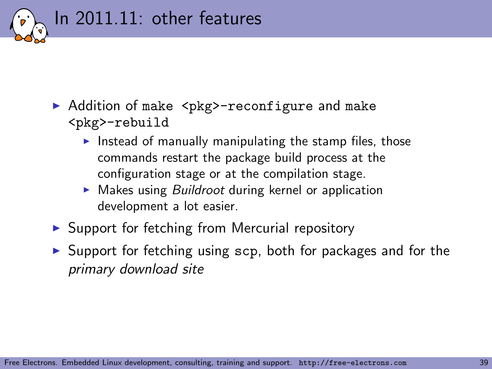

- ▶ Addition of make <pkg>-reconfigure and make <pkg>-rebuild
	- Instead of manually manipulating the stamp files, those commands restart the package build process at the configuration stage or at the compilation stage.
	- $\triangleright$  Makes using *Buildroot* during kernel or application development a lot easier.
- $\triangleright$  Support for fetching from Mercurial repository
- $\triangleright$  Support for fetching using  $scp$ , both for packages and for the primary download site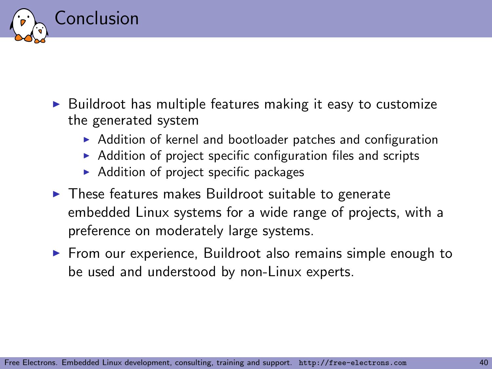

- $\triangleright$  Buildroot has multiple features making it easy to customize the generated system
	- $\triangleright$  Addition of kernel and bootloader patches and configuration
	- $\triangleright$  Addition of project specific configuration files and scripts
	- $\blacktriangleright$  Addition of project specific packages
- $\blacktriangleright$  These features makes Buildroot suitable to generate embedded Linux systems for a wide range of projects, with a preference on moderately large systems.
- $\triangleright$  From our experience, Buildroot also remains simple enough to be used and understood by non-Linux experts.